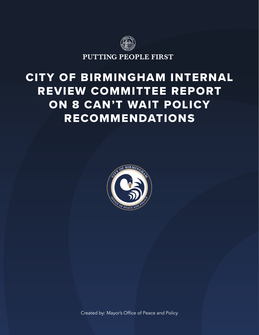

# CITY OF BIRMINGHAM INTERNAL REVIEW COMMITTEE REPORT ON 8 CAN'T WAIT POLICY RECOMMENDATIONS



Created by: Mayor's Office of Peace and Policy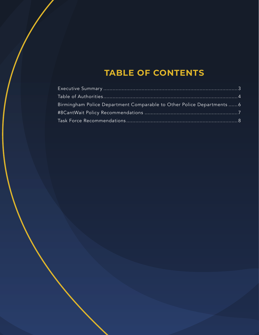## **TABLE OF CONTENTS**

| Birmingham Police Department Comparable to Other Police Departments  6 |  |
|------------------------------------------------------------------------|--|
|                                                                        |  |
|                                                                        |  |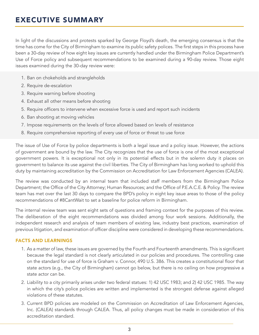### EXECUTIVE SUMMARY

In light of the discussions and protests sparked by George Floyd's death, the emerging consensus is that the time has come for the City of Birmingham to examine its public safety polices. The first steps in this process have been a 30-day review of how eight key issues are currently handled under the Birmingham Police Department's Use of Force policy and subsequent recommendations to be examined during a 90-day review. Those eight issues examined during the 30-day review were:

- 1. Ban on chokeholds and strangleholds
- 2. Require de-escalation
- 3. Require warning before shooting
- 4. Exhaust all other means before shooting
- 5. Require officers to intervene when excessive force is used and report such incidents
- 6. Ban shooting at moving vehicles
- 7. Impose requirements on the levels of force allowed based on levels of resistance
- 8. Require comprehensive reporting of every use of force or threat to use force

The issue of Use of Force by police departments is both a legal issue and a policy issue. However, the actions of government are bound by the law. The City recognizes that the use of force is one of the most exceptional government powers. It is exceptional not only in its potential effects but in the solemn duty it places on government to balance its use against the civil liberties. The City of Birmingham has long worked to uphold this duty by maintaining accreditation by the Commission on Accreditation for Law Enforcement Agencies (CALEA).

The review was conducted by an internal team that included staff members from the Birmingham Police Department; the Office of the City Attorney; Human Resources; and the Office of P.E.A.C.E. & Policy. The review team has met over the last 30 days to compare the BPD's policy in eight key issue areas to those of the policy recommendations of #8CantWait to set a baseline for police reform in Birmingham.

The internal review team was sent eight sets of questions and framing context for the purposes of this review. The deliberation of the eight recommendations was divided among four work sessions. Additionally, the independent research and analysis of team members of existing law, industry best practices, examination of previous litigation, and examination of officer discipline were considered in developing these recommendations.

#### FACTS AND LEARNINGS

- 1. As a matter of law, these issues are governed by the Fourth and Fourteenth amendments. This is significant because the legal standard is not clearly articulated in our policies and procedures. The controlling case on the standard for use of force is Graham v. Connor, 490 U.S. 386. This creates a constitutional floor that state actors (e.g., the City of Birmingham) cannot go below, but there is no ceiling on how progressive a state actor can be.
- 2. Liability to a city primarily arises under two federal statues: 1) 42 USC 1983; and 2) 42 USC 1985. The way in which the city's police policies are written and implemented is the strongest defense against alleged violations of these statutes.
- 3. Current BPD policies are modeled on the Commission on Accreditation of Law Enforcement Agencies, Inc. (CALEA) standards through CALEA. Thus, all policy changes must be made in consideration of this accreditation standard.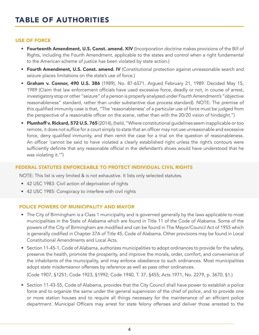#### USE OF FORCE

- Fourteenth Amendment, U.S. Const. amend. XIV (Incorporation doctrine makes provisions of the Bill of Rights, including the Fourth Amendment, applicable to the states and control when a right fundamental to the American scheme of justice has been violated by state action.)
- Fourth Amendment, U.S. Const. amend. IV (Constitutional protection against unreasonable search and seizure places limitations on the state's use of force.)
- Graham v. Connor, 490 U.S. 386 (1989), No. 87-6571. Argued February 21, 1989. Decided May 15, 1989 (Claim that law enforcement officials have used excessive force, deadly or not, in course of arrest, investigatory stop or other "seizure" of a person is properly analyzed under Fourth Amendment's "objective reasonableness" standard, rather than under substantive due process standard). NOTE: The premise of this qualified immunity case is that, "The 'reasonableness' of a particular use of force must be judged from the perspective of a reasonable officer on the scene, rather than with the 20/20 vision of hindsight.")
- Plumhoff v. Rickard, 572 U.S. 765 (2014), (held, "Where constitutional guidelines seem inapplicable or too remote, it does not suffice for a court simply to state that an officer may not use unreasonable and excessive force, deny qualified immunity, and then remit the case for a trial on the question of reasonableness. An officer 'cannot be said to have violated a clearly established right unless the right's contours were sufficiently definite that any reasonable official in the defendant's shoes would have understood that he was violating it.'")

#### FEDERAL STATUTES ENFORCEABLE TO PROTECT INDIVIDUAL CIVIL RIGHTS

NOTE: This list is very limited & is not exhaustive. It lists only selected statutes.

- 42 USC 1983: Civil action of deprivation of rights
- 42 USC 1985: Conspiracy to interfere with civil rights

#### POLICE POWERS OF MUNICIPALITY AND MAYOR

- The City of Birmingham is a Class 1 municipality and is governed generally by the laws applicable to most municipalities in the State of Alabama which are found in Title 11 of the Code of Alabama. Some of the powers of the City of Birmingham are modified and can be found in The Mayor/Council Act of 1955 which is generally codified in Chapter 37A of Title 45, Code of Alabama. Other provisions may be found in Local Constitutional Amendments and Local Acts.
- Section 11-45-1, Code of Alabama, authorizes municipalities to adopt ordinances to provide for the safety, preserve the health, promote the prosperity, and improve the morals, order, comfort, and convenience of the inhabitants of the municipality, and may enforce obedience to such ordinances. Most municipalities adopt state misdemeanor offenses by reference as well as pass other ordinances.

(Code 1907, §1251; Code 1923, §1992; Code 1940, T. 37, §455; Acts 1971, No. 2279, p. 3670, §1.)

• Section 11-43-55, Code of Alabama, provides that the City Council shall have power to establish a police force and to organize the same under the general supervision of the chief of police, and to provide one or more station houses and to require all things necessary for the maintenance of an efficient police department. Municipal Officers may arrest for state felony offenses and deliver those arrested to the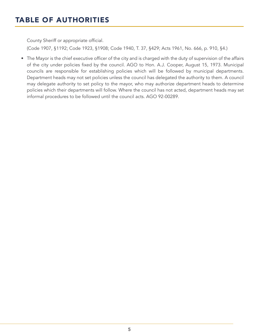### TABLE OF AUTHORITIES

County Sheriff or appropriate official.

(Code 1907, §1192; Code 1923, §1908; Code 1940, T. 37, §429; Acts 1961, No. 666, p. 910, §4.)

• The Mayor is the chief executive officer of the city and is charged with the duty of supervision of the affairs of the city under policies fixed by the council. AGO to Hon. A.J. Cooper, August 15, 1973. Municipal councils are responsible for establishing policies which will be followed by municipal departments. Department heads may not set policies unless the council has delegated the authority to them. A council may delegate authority to set policy to the mayor, who may authorize department heads to determine policies which their departments will follow. Where the council has not acted, department heads may set informal procedures to be followed until the council acts. AGO 92-00289.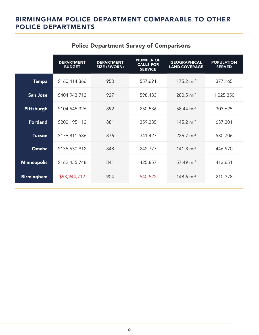### BIRMINGHAM POLICE DEPARTMENT COMPARABLE TO OTHER POLICE DEPARTMENTS

|                    | <b>DEPARTMENT</b><br><b>BUDGET</b> | <b>DEPARTMENT</b><br><b>SIZE (SWORN)</b> | <b>NUMBER OF</b><br><b>CALLS FOR</b><br><b>SERVICE</b> | <b>GEOGRAPHICAL</b><br><b>LAND COVERAGE</b> | <b>POPULATION</b><br><b>SERVED</b> |
|--------------------|------------------------------------|------------------------------------------|--------------------------------------------------------|---------------------------------------------|------------------------------------|
| <b>Tampa</b>       | \$160,414,366                      | 950                                      | 557,691                                                | 175.2 $mi^2$                                | 377,165                            |
| <b>San Jose</b>    | \$404,943,712                      | 927                                      | 598,433                                                | 280.5 mi <sup>2</sup>                       | 1,025,350                          |
| <b>Pittsburgh</b>  | \$104,545,326                      | 892                                      | 250,536                                                | 58.44 mi <sup>2</sup>                       | 303,625                            |
| <b>Portland</b>    | \$200,195,112                      | 881                                      | 359,335                                                | 145.2 mi <sup>2</sup>                       | 637,301                            |
| <b>Tucson</b>      | \$179,811,586                      | 876                                      | 341,427                                                | 226.7 $mi^2$                                | 530,706                            |
| Omaha              | \$135,530,912                      | 848                                      | 242,777                                                | 141.8 $mi^2$                                | 446,970                            |
| <b>Minneapolis</b> | \$162,435,748                      | 841                                      | 425,857                                                | 57.49 mi <sup>2</sup>                       | 413,651                            |
| <b>Birmingham</b>  | \$93,944,712                       | 904                                      | 540,522                                                | 148.6 mi <sup>2</sup>                       | 210,378                            |

### Police Department Survey of Comparisons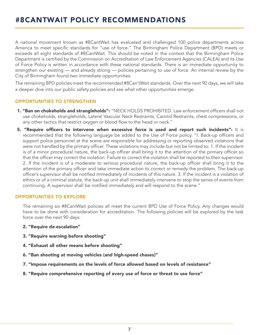### #8CANTWAIT POLICY RECOMMENDATIONS

A national movement known as #8CantWait has evaluated and challenged 100 police departments across America to meet specific standards for "use of force." The Birmingham Police Department (BPD) meets or exceeds all eight standards of #8CantWait. This should be noted in the context that the Birmingham Police Department is certified by the Commission on Accreditation of Law Enforcement Agencies (CALEA) and its Use of Force Policy is written in accordance with these national standards. There is an immediate opportunity to strengthen our existing — and already strong — policies pertaining to use of force. An internal review by the City of Birmingham found two immediate opportunities.

The remaining BPD policies meet the recommended #8Can'tWait standards. Over the next 90 days, we will take a deeper dive into our public safety policies and see what other opportunities emerge.

#### OPPORTUNITIES TO STRENGTHEN

- 1. "Ban on chokeholds and strangleholds": "NECK HOLDS PROHIBITED. Law enforcement officers shall not use chokeholds, strangleholds, Lateral Vascular Neck Restraints, Carotid Restraints, chest compressions, or any other tactics that restrict oxygen or blood flow to the head or neck."
- 5. "Require officers to intervene when excessive force is used and report such incidents": It is recommended that the following language be added to the Use of Force policy. "I. Back-up officers and support police personnel at the scene are responsible for addressing or reporting observed violations that were not handled by the primary officer. These violations may include but not be limited to: 1. If the incident is of a minor procedural nature, the back-up officer shall bring it to the attention of the primary officer so that the officer may correct the violation. Failure to correct the violation shall be reported to their supervisor. 2. If the incident is of a moderate to serious procedural nature, the back-up officer shall bring it to the attention of the primary officer and take immediate action to correct or remedy the problem. The back-up officer's supervisor shall be notified immediately of incidents of this nature. 3. If the incident is a violation of ethics or of a criminal statute, the back-up unit shall immediately intervene to stop the series of events from continuing. A supervisor shall be notified immediately and will respond to the scene."

#### OPPORTUNITIES TO EXPLORE

The remaining six #8CantWait policies all meet the current BPD Use of Force Policy. Any changes would have to be done with consideration for accreditation. The following policies will be explored by the task force over the next 90 days:

- 2. "Require de-escalation"
- 3. "Require warning before shooting"
- 4. "Exhaust all other means before shooting"
- 6. "Ban shooting at moving vehicles (and high-speed chases)"
- 7. "Impose requirements on the levels of force allowed based on levels of resistance"
- 8. "Require comprehensive reporting of every use of force or threat to use force"